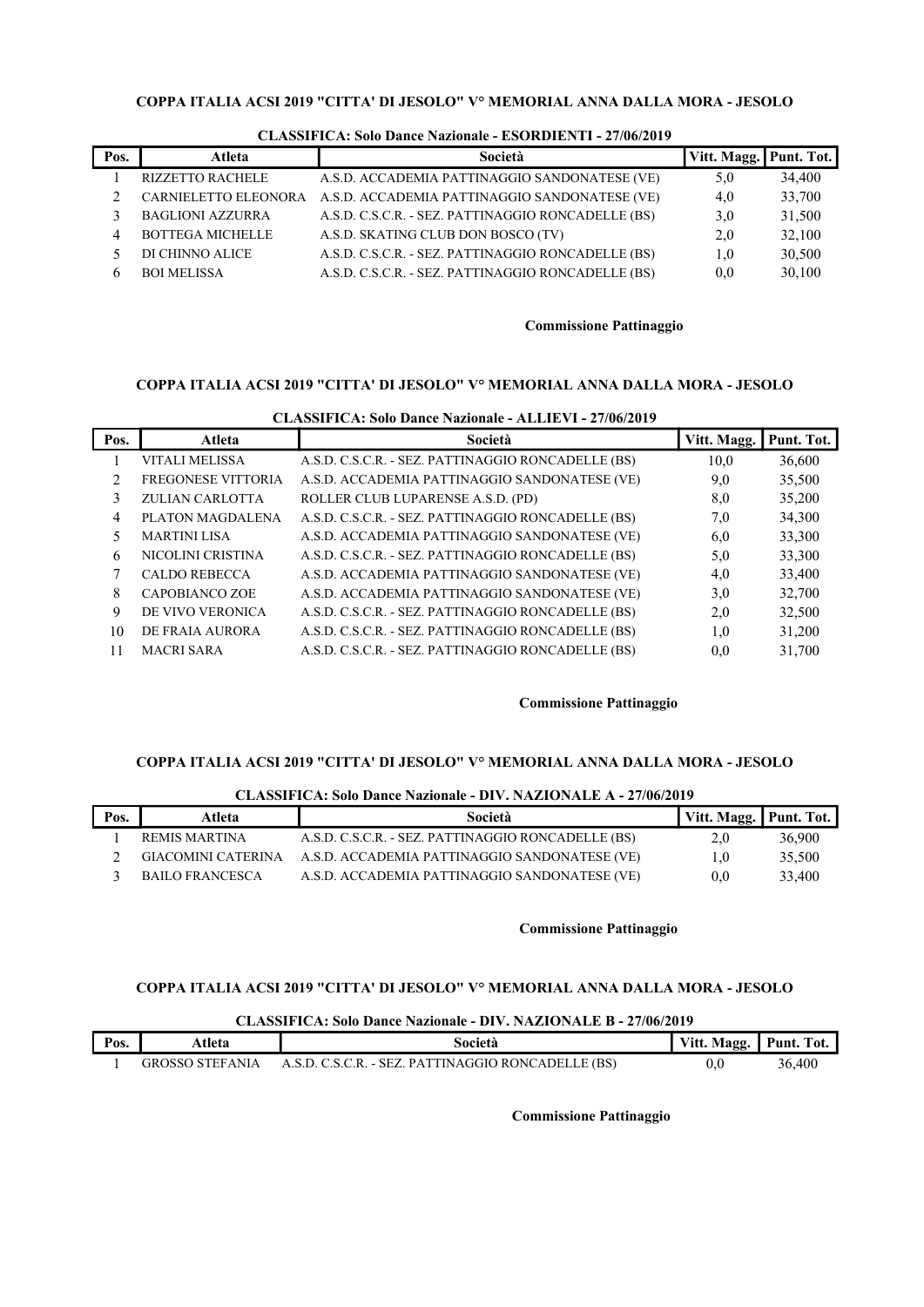| Pos. | Atleta                  | Società                                            | Vitt. Magg. Punt. Tot. |        |
|------|-------------------------|----------------------------------------------------|------------------------|--------|
|      | <b>RIZZETTO RACHELE</b> | A.S.D. ACCADEMIA PATTINAGGIO SANDONATESE (VE)      | 5.0                    | 34,400 |
|      | CARNIELETTO ELEONORA    | A.S.D. ACCADEMIA PATTINAGGIO SANDONATESE (VE)      | 4.0                    | 33,700 |
|      | <b>BAGLIONI AZZURRA</b> | A.S.D. C.S.C.R. - SEZ. PATTINAGGIO RONCADELLE (BS) | 3.0                    | 31,500 |
| 4    | <b>BOTTEGA MICHELLE</b> | A.S.D. SKATING CLUB DON BOSCO (TV)                 | 2.0                    | 32,100 |
|      | DI CHINNO ALICE         | A.S.D. C.S.C.R. - SEZ. PATTINAGGIO RONCADELLE (BS) | 1.0                    | 30,500 |
|      | <b>BOI MELISSA</b>      | A.S.D. C.S.C.R. - SEZ. PATTINAGGIO RONCADELLE (BS) | 0.0                    | 30,100 |
|      |                         |                                                    |                        |        |

#### CLASSIFICA: Solo Dance Nazionale - ESORDIENTI - 27/06/2019

## Commissione Pattinaggio

## COPPA ITALIA ACSI 2019 "CITTA' DI JESOLO" V° MEMORIAL ANNA DALLA MORA - JESOLO

#### CLASSIFICA: Solo Dance Nazionale - ALLIEVI - 27/06/2019

| Pos.           | Atleta                    | Società                                            | Vitt. Magg. | Punt. Tot. |
|----------------|---------------------------|----------------------------------------------------|-------------|------------|
|                | VITALI MELISSA            | A.S.D. C.S.C.R. - SEZ. PATTINAGGIO RONCADELLE (BS) | 10.0        | 36,600     |
| $\mathfrak{D}$ | <b>FREGONESE VITTORIA</b> | A.S.D. ACCADEMIA PATTINAGGIO SANDONATESE (VE)      | 9,0         | 35,500     |
| 3              | ZULIAN CARLOTTA           | ROLLER CLUB LUPARENSE A.S.D. (PD)                  | 8,0         | 35,200     |
| 4              | PLATON MAGDALENA          | A.S.D. C.S.C.R. - SEZ. PATTINAGGIO RONCADELLE (BS) | 7,0         | 34,300     |
|                | <b>MARTINI LISA</b>       | A.S.D. ACCADEMIA PATTINAGGIO SANDONATESE (VE)      | 6.0         | 33,300     |
| 6              | NICOLINI CRISTINA         | A.S.D. C.S.C.R. - SEZ. PATTINAGGIO RONCADELLE (BS) | 5,0         | 33,300     |
| 7              | <b>CALDO REBECCA</b>      | A.S.D. ACCADEMIA PATTINAGGIO SANDONATESE (VE)      | 4,0         | 33,400     |
| 8              | CAPOBIANCO ZOE            | A.S.D. ACCADEMIA PATTINAGGIO SANDONATESE (VE)      | 3,0         | 32,700     |
| 9              | DE VIVO VERONICA          | A.S.D. C.S.C.R. - SEZ. PATTINAGGIO RONCADELLE (BS) | 2,0         | 32,500     |
| 10             | DE FRAIA AURORA           | A.S.D. C.S.C.R. - SEZ. PATTINAGGIO RONCADELLE (BS) | 1,0         | 31,200     |
| 11             | <b>MACRI SARA</b>         | A.S.D. C.S.C.R. - SEZ. PATTINAGGIO RONCADELLE (BS) | 0,0         | 31,700     |

## Commissione Pattinaggio

## COPPA ITALIA ACSI 2019 "CITTA' DI JESOLO" V° MEMORIAL ANNA DALLA MORA - JESOLO

#### CLASSIFICA: Solo Dance Nazionale - DIV. NAZIONALE A - 27/06/2019

| Pos. | Atleta             | Società                                            | Vitt. Magg. Punt. Tot. |        |
|------|--------------------|----------------------------------------------------|------------------------|--------|
|      | REMIS MARTINA      | A.S.D. C.S.C.R. - SEZ. PATTINAGGIO RONCADELLE (BS) | 2.0                    | 36,900 |
|      | GIACOMINI CATERINA | A.S.D. ACCADEMIA PATTINAGGIO SANDONATESE (VE)      | 1.0                    | 35,500 |
|      | BAILO FRANCESCA    | A.S.D. ACCADEMIA PATTINAGGIO SANDONATESE (VE)      | 0.0                    | 33,400 |

#### Commissione Pattinaggio

## COPPA ITALIA ACSI 2019 "CITTA' DI JESOLO" V° MEMORIAL ANNA DALLA MORA - JESOLO

| CLASSIFICA: Solo Dance Nazionale - DIV. NAZIONALE B - 27/06/2019 |                        |                                                    |                          |        |  |
|------------------------------------------------------------------|------------------------|----------------------------------------------------|--------------------------|--------|--|
| Pos.                                                             | Atleta                 | Società                                            | Vitt. Magg.   Punt. Tot. |        |  |
|                                                                  | <b>GROSSO STEFANIA</b> | A.S.D. C.S.C.R. - SEZ. PATTINAGGIO RONCADELLE (BS) | 0,0                      | 36,400 |  |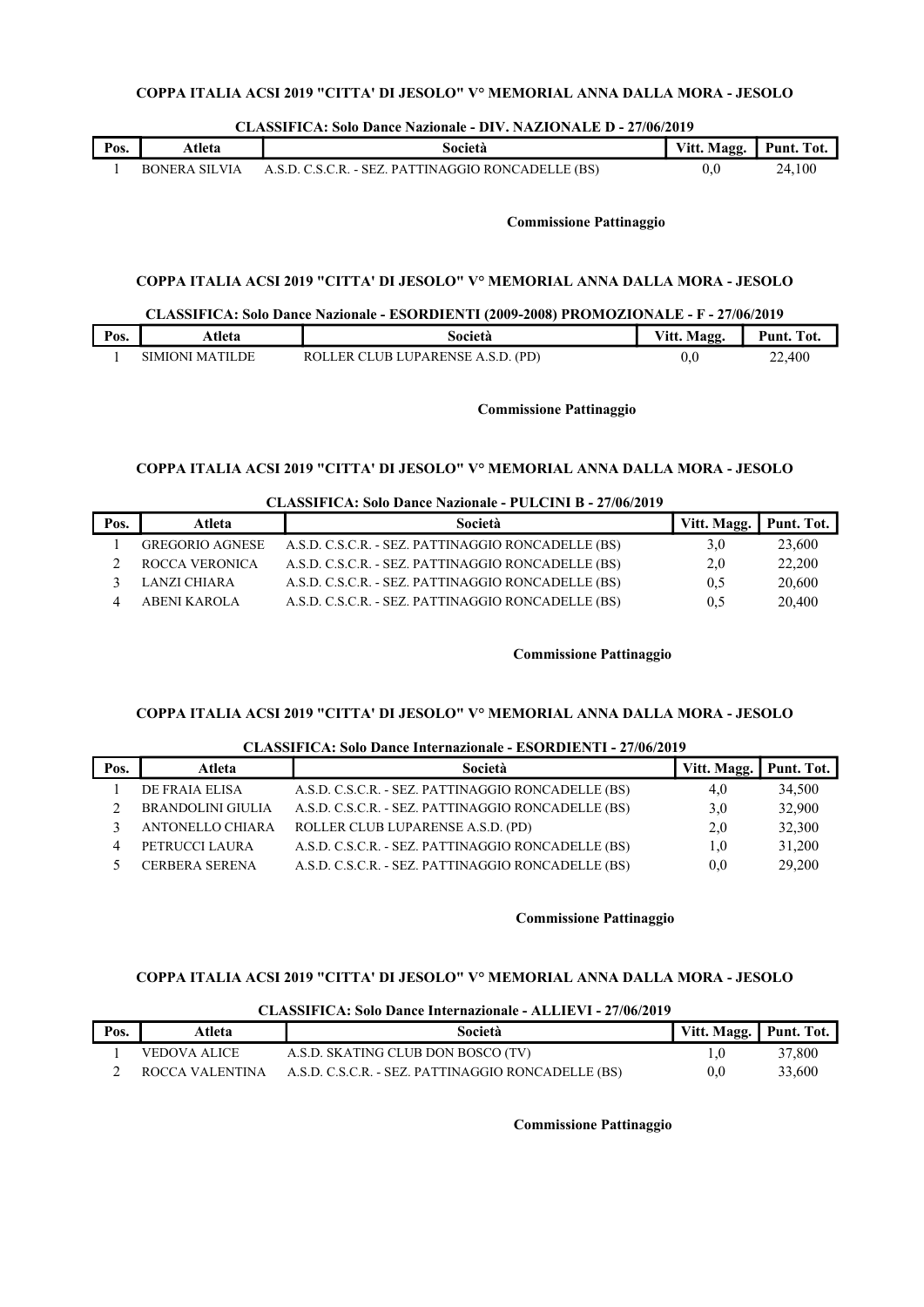| CLASSIFICA: Solo Dance Nazionale - DIV. NAZIONALE D - 27/06/2019 |               |                                                    |             |              |  |
|------------------------------------------------------------------|---------------|----------------------------------------------------|-------------|--------------|--|
| $P_{OS.}$                                                        | Atleta        | Società                                            | Vitt. Magg. | I Punt. Tot. |  |
|                                                                  | BONERA SILVIA | A.S.D. C.S.C.R. - SEZ. PATTINAGGIO RONCADELLE (BS) | 0.0         | 24,100       |  |

Commissione Pattinaggio

## COPPA ITALIA ACSI 2019 "CITTA' DI JESOLO" V° MEMORIAL ANNA DALLA MORA - JESOLO

## CLASSIFICA: Solo Dance Nazionale - ESORDIENTI (2009-2008) PROMOZIONALE - F - 27/06/2019

| $P_{OS}$ | Atleta                   | Società                                                    | Magg.<br>Vitt. | $P$ unt.<br>Tot. |
|----------|--------------------------|------------------------------------------------------------|----------------|------------------|
|          | FILDE<br>. IMIONE<br>M A | A.S.D. (PD)<br>LUPARENSE<br>$^{\prime}$ IIR.<br>FR.<br>⊟ T | v.u            | 22,400           |

Commissione Pattinaggio

# COPPA ITALIA ACSI 2019 "CITTA' DI JESOLO" V° MEMORIAL ANNA DALLA MORA - JESOLO

CLASSIFICA: Solo Dance Nazionale - PULCINI B - 27/06/2019

| Pos. | Atleta                 | Società                                            | Vitt. Magg.   Punt. Tot. |        |
|------|------------------------|----------------------------------------------------|--------------------------|--------|
|      | <b>GREGORIO AGNESE</b> | A.S.D. C.S.C.R. - SEZ. PATTINAGGIO RONCADELLE (BS) | 3.0                      | 23,600 |
|      | ROCCA VERONICA         | A.S.D. C.S.C.R. - SEZ. PATTINAGGIO RONCADELLE (BS) | 2.0                      | 22,200 |
|      | LANZI CHIARA           | A.S.D. C.S.C.R. - SEZ. PATTINAGGIO RONCADELLE (BS) | 0.5                      | 20,600 |
|      | ABENI KAROLA           | A.S.D. C.S.C.R. - SEZ. PATTINAGGIO RONCADELLE (BS) | 0.5                      | 20,400 |

#### Commissione Pattinaggio

## COPPA ITALIA ACSI 2019 "CITTA' DI JESOLO" V° MEMORIAL ANNA DALLA MORA - JESOLO

#### CLASSIFICA: Solo Dance Internazionale - ESORDIENTI - 27/06/2019

| Pos. | Atleta                   | Società                                            | Vitt. Magg. | Punt. Tot. |
|------|--------------------------|----------------------------------------------------|-------------|------------|
|      | DE FRAIA ELISA           | A.S.D. C.S.C.R. - SEZ. PATTINAGGIO RONCADELLE (BS) | 4.0         | 34,500     |
|      | <b>BRANDOLINI GIULIA</b> | A.S.D. C.S.C.R. - SEZ. PATTINAGGIO RONCADELLE (BS) | 3,0         | 32,900     |
|      | ANTONELLO CHIARA         | ROLLER CLUB LUPARENSE A.S.D. (PD)                  | 2.0         | 32,300     |
|      | PETRUCCI LAURA           | A.S.D. C.S.C.R. - SEZ. PATTINAGGIO RONCADELLE (BS) | 1.0         | 31,200     |
|      | <b>CERBERA SERENA</b>    | A.S.D. C.S.C.R. - SEZ. PATTINAGGIO RONCADELLE (BS) | 0.0         | 29,200     |

#### Commissione Pattinaggio

#### COPPA ITALIA ACSI 2019 "CITTA' DI JESOLO" V° MEMORIAL ANNA DALLA MORA - JESOLO

|      |                 | <b>CLASSIFICA: Solo Dance Internazionale - ALLIEVI - 27/06/2019</b> |                          |        |
|------|-----------------|---------------------------------------------------------------------|--------------------------|--------|
| Pos. | Atleta          | Società                                                             | Vitt. Magg.   Punt. Tot. |        |
|      | VEDOVA ALICE    | A.S.D. SKATING CLUB DON BOSCO (TV)                                  |                          | 37,800 |
|      | ROCCA VALENTINA | A.S.D. C.S.C.R. - SEZ. PATTINAGGIO RONCADELLE (BS)                  | 0.0                      | 33,600 |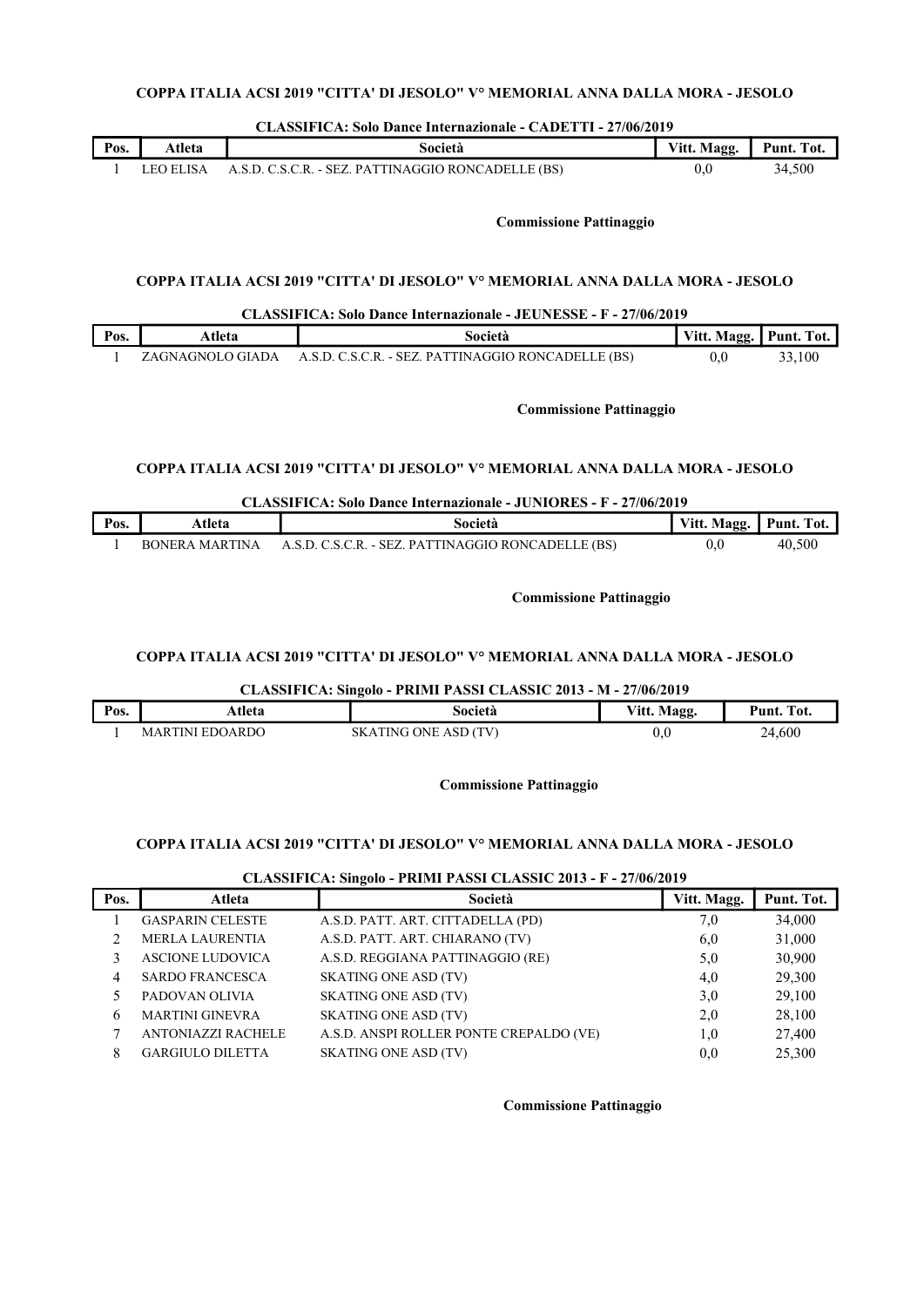| 1    | <b>Atleta</b><br><b>LEO ELISA</b> | A.S.D. C.S.C.R. - SEZ. PATTINAGGIO RONCADELLE (BS)                             | Vitt. Magg.<br>0.0 | Punt. Tot.<br>34,500 |
|------|-----------------------------------|--------------------------------------------------------------------------------|--------------------|----------------------|
|      |                                   |                                                                                |                    |                      |
|      |                                   | <b>Commissione Pattinaggio</b>                                                 |                    |                      |
|      |                                   | COPPA ITALIA ACSI 2019 "CITTA' DI JESOLO" V° MEMORIAL ANNA DALLA MORA - JESOLO |                    |                      |
|      |                                   | CLASSIFICA: Solo Dance Internazionale - JEUNESSE - F - 27/06/2019              |                    |                      |
| Pos. | <b>Atleta</b>                     | Società                                                                        | Vitt. Magg.        | Punt. Tot.           |
| 1    | ZAGNAGNOLO GIADA                  | A.S.D. C.S.C.R. - SEZ. PATTINAGGIO RONCADELLE (BS)                             | 0.0                | 33,100               |
|      |                                   | <b>Commissione Pattinaggio</b>                                                 |                    |                      |
|      |                                   |                                                                                |                    |                      |
|      |                                   | COPPA ITALIA ACSI 2019 "CITTA' DI JESOLO" V° MEMORIAL ANNA DALLA MORA - JESOLO |                    |                      |
|      |                                   |                                                                                |                    |                      |
| Pos. | Atleta                            | CLASSIFICA: Solo Dance Internazionale - JUNIORES - F - 27/06/2019<br>Società   | Vitt. Magg.        | Punt. Tot.           |
| 1    | <b>BONERA MARTINA</b>             | A.S.D. C.S.C.R. - SEZ. PATTINAGGIO RONCADELLE (BS)                             | 0.0                | 40,500               |
|      |                                   |                                                                                |                    |                      |
|      |                                   | <b>Commissione Pattinaggio</b>                                                 |                    |                      |
|      |                                   |                                                                                |                    |                      |
|      |                                   | COPPA ITALIA ACSI 2019 "CITTA' DI JESOLO" V° MEMORIAL ANNA DALLA MORA - JESOLO |                    |                      |
|      |                                   | CLASSIFICA: Singolo - PRIMI PASSI CLASSIC 2013 - M - 27/06/2019                |                    |                      |
| Pos. | Atleta                            | Società                                                                        | Vitt. Magg.        | Punt. Tot.           |
| 1    | <b>MARTINI EDOARDO</b>            | <b>SKATING ONE ASD (TV)</b>                                                    | 0,0                | 24,600               |
|      |                                   | <b>Commissione Pattinaggio</b>                                                 |                    |                      |
|      |                                   |                                                                                |                    |                      |

| Pos. | Atleta                    | Società                                 | Vitt. Magg. | Punt. Tot. |
|------|---------------------------|-----------------------------------------|-------------|------------|
|      | <b>GASPARIN CELESTE</b>   | A.S.D. PATT. ART. CITTADELLA (PD)       | 7,0         | 34,000     |
|      | <b>MERLA LAURENTIA</b>    | A.S.D. PATT. ART. CHIARANO (TV)         | 6,0         | 31,000     |
|      | <b>ASCIONE LUDOVICA</b>   | A.S.D. REGGIANA PATTINAGGIO (RE)        | 5,0         | 30,900     |
| 4    | <b>SARDO FRANCESCA</b>    | <b>SKATING ONE ASD (TV)</b>             | 4,0         | 29,300     |
|      | PADOVAN OLIVIA            | <b>SKATING ONE ASD (TV)</b>             | 3,0         | 29,100     |
| 6    | <b>MARTINI GINEVRA</b>    | <b>SKATING ONE ASD (TV)</b>             | 2,0         | 28,100     |
|      | <b>ANTONIAZZI RACHELE</b> | A.S.D. ANSPI ROLLER PONTE CREPALDO (VE) | 1,0         | 27,400     |
|      | <b>GARGIULO DILETTA</b>   | <b>SKATING ONE ASD (TV)</b>             | 0,0         | 25,300     |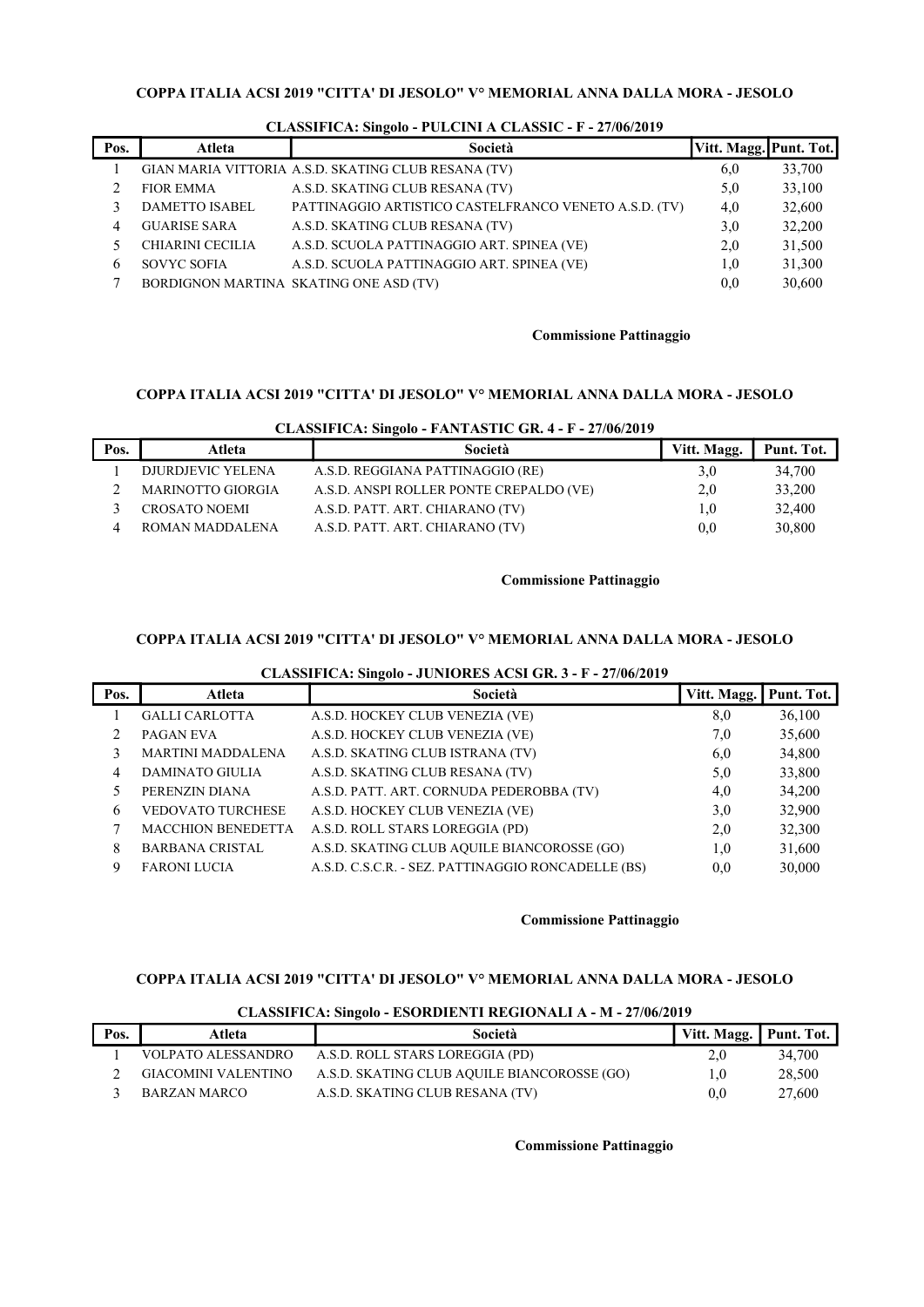| Pos. | Atleta                | Società                                               | Vitt. Magg. Punt. Tot. |        |  |
|------|-----------------------|-------------------------------------------------------|------------------------|--------|--|
|      |                       | GIAN MARIA VITTORIA A.S.D. SKATING CLUB RESANA (TV)   | 6,0                    | 33,700 |  |
|      | <b>FIOR EMMA</b>      | A.S.D. SKATING CLUB RESANA (TV)                       | 5,0                    | 33,100 |  |
|      | <b>DAMETTO ISABEL</b> | PATTINAGGIO ARTISTICO CASTELFRANCO VENETO A.S.D. (TV) | 4,0                    | 32,600 |  |
| 4    | <b>GUARISE SARA</b>   | A.S.D. SKATING CLUB RESANA (TV)                       | 3,0                    | 32,200 |  |
|      | CHIARINI CECILIA      | A.S.D. SCUOLA PATTINAGGIO ART. SPINEA (VE)            | 2,0                    | 31,500 |  |
| h    | <b>SOVYC SOFIA</b>    | A.S.D. SCUOLA PATTINAGGIO ART. SPINEA (VE)            | 1,0                    | 31,300 |  |
|      |                       | BORDIGNON MARTINA SKATING ONE ASD (TV)                | 0.0                    | 30,600 |  |
|      |                       |                                                       |                        |        |  |

#### CLASSIFICA: Singolo - PULCINI A CLASSIC - F - 27/06/2019

## Commissione Pattinaggio

# COPPA ITALIA ACSI 2019 "CITTA' DI JESOLO" V° MEMORIAL ANNA DALLA MORA - JESOLO

## CLASSIFICA: Singolo - FANTASTIC GR. 4 - F - 27/06/2019

| Pos. | Atleta                   | Società                                 | Vitt. Magg. | Punt. Tot. |
|------|--------------------------|-----------------------------------------|-------------|------------|
|      | DJURDJEVIC YELENA        | A.S.D. REGGIANA PATTINAGGIO (RE)        | 3,0         | 34,700     |
|      | <b>MARINOTTO GIORGIA</b> | A.S.D. ANSPI ROLLER PONTE CREPALDO (VE) | 2,0         | 33,200     |
|      | <b>CROSATO NOEMI</b>     | A.S.D. PATT. ART. CHIARANO (TV)         | 0.1         | 32,400     |
|      | ROMAN MADDALENA          | A.S.D. PATT. ART. CHIARANO (TV)         | 0,0         | 30,800     |

#### Commissione Pattinaggio

## COPPA ITALIA ACSI 2019 "CITTA' DI JESOLO" V° MEMORIAL ANNA DALLA MORA - JESOLO

#### CLASSIFICA: Singolo - JUNIORES ACSI GR. 3 - F - 27/06/2019

| Pos. | Atleta                    | Società                                            | Vitt. Magg. | Punt. Tot. |
|------|---------------------------|----------------------------------------------------|-------------|------------|
|      | <b>GALLI CARLOTTA</b>     | A.S.D. HOCKEY CLUB VENEZIA (VE)                    | 8,0         | 36,100     |
|      | <b>PAGAN EVA</b>          | A.S.D. HOCKEY CLUB VENEZIA (VE)                    | 7,0         | 35,600     |
|      | <b>MARTINI MADDALENA</b>  | A.S.D. SKATING CLUB ISTRANA (TV)                   | 6,0         | 34,800     |
|      | <b>DAMINATO GIULIA</b>    | A.S.D. SKATING CLUB RESANA (TV)                    | 5,0         | 33,800     |
|      | PERENZIN DIANA            | A.S.D. PATT. ART. CORNUDA PEDEROBBA (TV)           | 4,0         | 34,200     |
| 6    | <b>VEDOVATO TURCHESE</b>  | A.S.D. HOCKEY CLUB VENEZIA (VE)                    | 3,0         | 32,900     |
|      | <b>MACCHION BENEDETTA</b> | A.S.D. ROLL STARS LOREGGIA (PD)                    | 2,0         | 32,300     |
| 8    | <b>BARBANA CRISTAL</b>    | A.S.D. SKATING CLUB AQUILE BIANCOROSSE (GO)        | 1,0         | 31,600     |
| Q    | <b>FARONI LUCIA</b>       | A.S.D. C.S.C.R. - SEZ. PATTINAGGIO RONCADELLE (BS) | 0.0         | 30,000     |

## Commissione Pattinaggio

## COPPA ITALIA ACSI 2019 "CITTA' DI JESOLO" V° MEMORIAL ANNA DALLA MORA - JESOLO

| Pos. | Atleta              | Società                                     | Vitt. Magg.   Punt. Tot. |        |
|------|---------------------|---------------------------------------------|--------------------------|--------|
|      | VOLPATO ALESSANDRO  | A.S.D. ROLL STARS LOREGGIA (PD)             | 2,0                      | 34,700 |
|      | GIACOMINI VALENTINO | A.S.D. SKATING CLUB AQUILE BIANCOROSSE (GO) | 1,0                      | 28,500 |
|      | BARZAN MARCO        | A.S.D. SKATING CLUB RESANA (TV)             | $0.0\,$                  | 27,600 |

#### CLASSIFICA: Singolo - ESORDIENTI REGIONALI A - M - 27/06/2019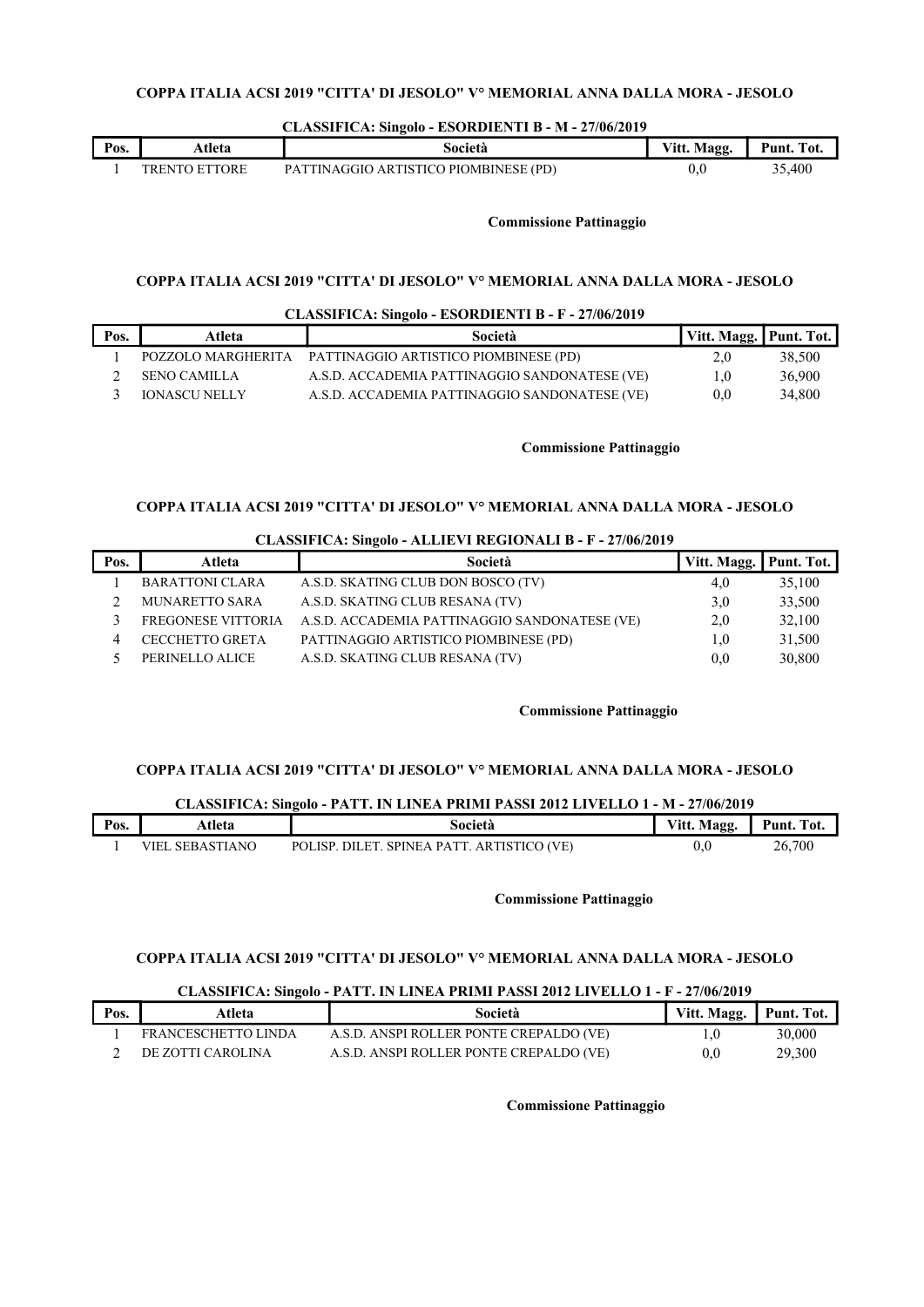| CLASSIFICA: Singolo - ESORDIENTI B - M - 27/06/2019 |               |                                       |             |            |
|-----------------------------------------------------|---------------|---------------------------------------|-------------|------------|
| Pos.                                                | Atleta        | Società                               | Vitt. Magg. | Punt. Tot. |
|                                                     | TRENTO ETTORE | PATTINAGGIO ARTISTICO PIOMBINESE (PD) |             | 35.400     |

#### Commissione Pattinaggio

## COPPA ITALIA ACSI 2019 "CITTA' DI JESOLO" V° MEMORIAL ANNA DALLA MORA - JESOLO

| CLASSIFICA: Singolo - ESORDIENTI B - F - 27/06/2019 |                      |                                                          |                        |        |  |
|-----------------------------------------------------|----------------------|----------------------------------------------------------|------------------------|--------|--|
| Pos.                                                | Atleta               | Società                                                  | Vitt. Magg. Punt. Tot. |        |  |
|                                                     |                      | POZZOLO MARGHERITA PATTINAGGIO ARTISTICO PIOMBINESE (PD) | 2.0                    | 38,500 |  |
|                                                     | <b>SENO CAMILLA</b>  | A.S.D. ACCADEMIA PATTINAGGIO SANDONATESE (VE)            | l.0                    | 36,900 |  |
|                                                     | <b>IONASCU NELLY</b> | A.S.D. ACCADEMIA PATTINAGGIO SANDONATESE (VE)            | $0.0\,$                | 34,800 |  |

#### Commissione Pattinaggio

## COPPA ITALIA ACSI 2019 "CITTA' DI JESOLO" V° MEMORIAL ANNA DALLA MORA - JESOLO

#### CLASSIFICA: Singolo - ALLIEVI REGIONALI B - F - 27/06/2019

| Pos. | Atleta                 | Società                                       | Vitt. Magg.   Punt. Tot. |        |
|------|------------------------|-----------------------------------------------|--------------------------|--------|
|      | <b>BARATTONI CLARA</b> | A.S.D. SKATING CLUB DON BOSCO (TV)            | 4.0                      | 35,100 |
|      | <b>MUNARETTO SARA</b>  | A.S.D. SKATING CLUB RESANA (TV)               | 3,0                      | 33,500 |
|      | FREGONESE VITTORIA     | A.S.D. ACCADEMIA PATTINAGGIO SANDONATESE (VE) | 2,0                      | 32,100 |
|      | <b>CECCHETTO GRETA</b> | PATTINAGGIO ARTISTICO PIOMBINESE (PD)         | 0.1                      | 31,500 |
|      | PERINELLO ALICE        | A.S.D. SKATING CLUB RESANA (TV)               | 0.0                      | 30,800 |

#### Commissione Pattinaggio

## COPPA ITALIA ACSI 2019 "CITTA' DI JESOLO" V° MEMORIAL ANNA DALLA MORA - JESOLO

## CLASSIFICA: Singolo - PATT. IN LINEA PRIMI PASSI 2012 LIVELLO 1 - M - 27/06/2019

| Pos. | Atleta | Società                                                         | Vitt. Magg. | Punt. Tot. |
|------|--------|-----------------------------------------------------------------|-------------|------------|
|      | IANC   | DII ET<br><b>ARTISTICO (VE)</b><br>SPINEA PATT<br><b>POLISP</b> | U.U         | 26,700     |

Commissione Pattinaggio

#### COPPA ITALIA ACSI 2019 "CITTA' DI JESOLO" V° MEMORIAL ANNA DALLA MORA - JESOLO

#### CLASSIFICA: Singolo - PATT. IN LINEA PRIMI PASSI 2012 LIVELLO 1 - F - 27/06/2019

| Pos. | Atleta              | Società                                 | Vitt. Magg.   Punt. Tot. |        |
|------|---------------------|-----------------------------------------|--------------------------|--------|
|      | FRANCESCHETTO LINDA | A.S.D. ANSPI ROLLER PONTE CREPALDO (VE) | υ, 1                     | 30.000 |
|      | DE ZOTTI CAROLINA   | A.S.D. ANSPI ROLLER PONTE CREPALDO (VE) | $_{\rm 0.0}$             | 29,300 |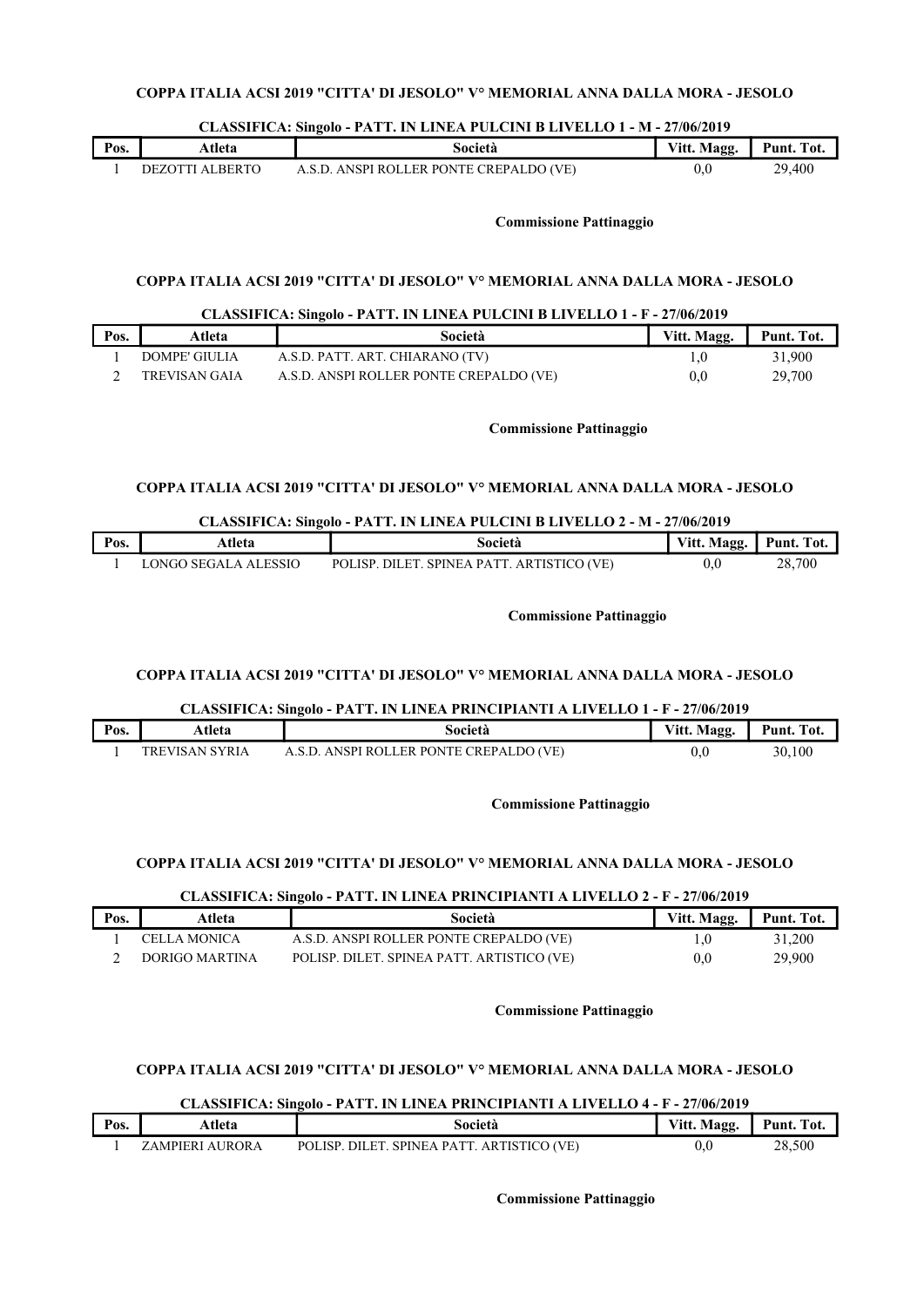|                                                                                                                                                             | CLASSIFICA: Singolo - PATT. IN LINEA PULCINI B LIVELLO 1 - M - 27/06/2019 |                                                                                                                                                             |             |            |  |  |
|-------------------------------------------------------------------------------------------------------------------------------------------------------------|---------------------------------------------------------------------------|-------------------------------------------------------------------------------------------------------------------------------------------------------------|-------------|------------|--|--|
| Pos.                                                                                                                                                        | <b>Atleta</b>                                                             | Società                                                                                                                                                     | Vitt. Magg. | Punt. Tot. |  |  |
|                                                                                                                                                             | <b>DEZOTTI ALBERTO</b>                                                    | A.S.D. ANSPI ROLLER PONTE CREPALDO (VE)                                                                                                                     | 0,0         | 29,400     |  |  |
|                                                                                                                                                             | <b>Commissione Pattinaggio</b>                                            |                                                                                                                                                             |             |            |  |  |
|                                                                                                                                                             |                                                                           | COPPA ITALIA ACSI 2019 "CITTA' DI JESOLO" V° MEMORIAL ANNA DALLA MORA - JESOLO<br>CLASSIFICA: Singolo - PATT. IN LINEA PULCINI B LIVELLO 1 - F - 27/06/2019 |             |            |  |  |
| Pos.                                                                                                                                                        | <b>Atleta</b>                                                             | Società                                                                                                                                                     | Vitt. Magg. | Punt. Tot. |  |  |
|                                                                                                                                                             | DOMPE' GIULIA                                                             | A.S.D. PATT. ART. CHIARANO (TV)                                                                                                                             | 1,0         | 31,900     |  |  |
| $\mathcal{D}_{\mathcal{A}}$                                                                                                                                 | <b>TREVISAN GAIA</b>                                                      | A.S.D. ANSPI ROLLER PONTE CREPALDO (VE)                                                                                                                     | 0,0         | 29,700     |  |  |
|                                                                                                                                                             | <b>Commissione Pattinaggio</b>                                            |                                                                                                                                                             |             |            |  |  |
| COPPA ITALIA ACSI 2019 "CITTA' DI JESOLO" V° MEMORIAL ANNA DALLA MORA - JESOLO<br>CLASSIFICA: Singolo - PATT. IN LINEA PULCINI B LIVELLO 2 - M - 27/06/2019 |                                                                           |                                                                                                                                                             |             |            |  |  |
| Pos.                                                                                                                                                        | <b>Atleta</b>                                                             | Società                                                                                                                                                     | Vitt. Magg. | Punt. Tot. |  |  |
|                                                                                                                                                             |                                                                           |                                                                                                                                                             |             |            |  |  |
|                                                                                                                                                             | <b>LONGO SEGALA ALESSIO</b>                                               | POLISP. DILET. SPINEA PATT. ARTISTICO (VE)                                                                                                                  | 0,0         | 28,700     |  |  |

Commissione Pattinaggio

## COPPA ITALIA ACSI 2019 "CITTA' DI JESOLO" V° MEMORIAL ANNA DALLA MORA - JESOLO

## CLASSIFICA: Singolo - PATT. IN LINEA PRINCIPIANTI A LIVELLO 1 - F - 27/06/2019

| Pos. | <b>\tleta</b>         | Società                                 | Vitt. Magg. | Punt. Tot. |
|------|-----------------------|-----------------------------------------|-------------|------------|
|      | <b>TREVISAN SYRIA</b> | A.S.D. ANSPI ROLLER PONTE CREPALDO (VE) | $0.0\,$     | 30.100     |

Commissione Pattinaggio

## COPPA ITALIA ACSI 2019 "CITTA' DI JESOLO" V° MEMORIAL ANNA DALLA MORA - JESOLO

## CLASSIFICA: Singolo - PATT. IN LINEA PRINCIPIANTI A LIVELLO 2 - F - 27/06/2019

| Pos. | Atleta         | Società                                    | Vitt. Magg.      | Punt. Tot. |
|------|----------------|--------------------------------------------|------------------|------------|
|      | CELLA MONICA   | A.S.D. ANSPI ROLLER PONTE CREPALDO (VE)    |                  | 31.200     |
|      | DORIGO MARTINA | POLISP. DILET. SPINEA PATT. ARTISTICO (VE) | 0.0 <sub>1</sub> | 29.900     |

Commissione Pattinaggio

## COPPA ITALIA ACSI 2019 "CITTA' DI JESOLO" V° MEMORIAL ANNA DALLA MORA - JESOLO

## CLASSIFICA: Singolo - PATT. IN LINEA PRINCIPIANTI A LIVELLO 4 - F - 27/06/2019

| Pos. | Atleta          | Società                                    | Vitt. Magg. | Punt. Tot. |
|------|-----------------|--------------------------------------------|-------------|------------|
|      | ZAMPIERI AURORA | POLISP. DILET. SPINEA PATT. ARTISTICO (VE) | v.v         | 28,500     |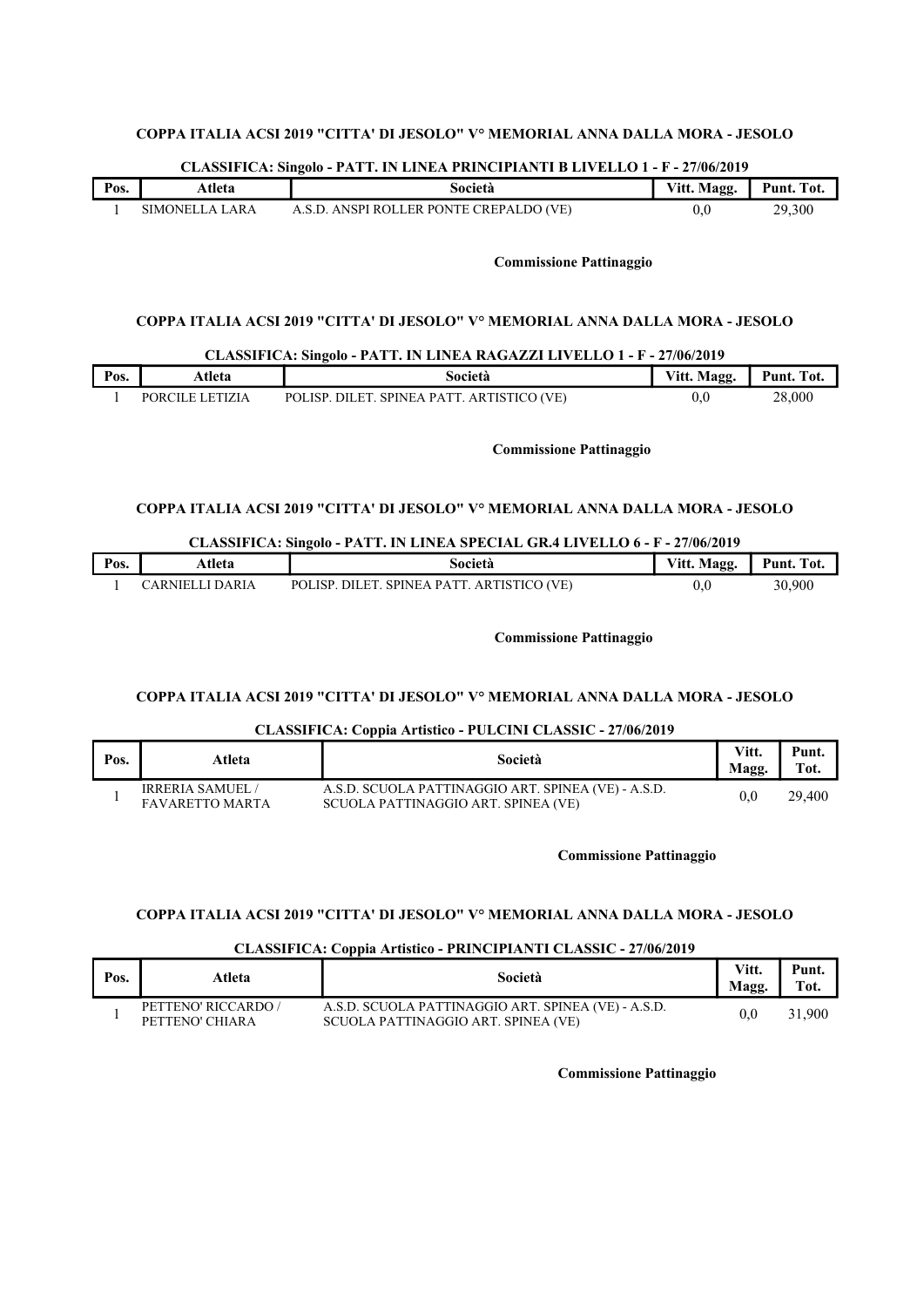|      | CLASSIFICA, SHIGUU - LATT, IN LINEA I KINCH IANTI D'EI VELLO I - F - 47700/4012 |                                         |             |            |  |  |
|------|---------------------------------------------------------------------------------|-----------------------------------------|-------------|------------|--|--|
| Pos. | Atleta                                                                          | Società                                 | Vitt. Magg. | Punt. Tot. |  |  |
|      | SIMONELLA LARA                                                                  | A.S.D. ANSPI ROLLER PONTE CREPALDO (VE) | 0.0         | 29.300     |  |  |

## CLASSIFICA: Singolo - PATT. IN LINEA PRINCIPIANTI B LIVELLO 1 - F - 27/06/2019

## Commissione Pattinaggio

## COPPA ITALIA ACSI 2019 "CITTA' DI JESOLO" V° MEMORIAL ANNA DALLA MORA - JESOLO

## CLASSIFICA: Singolo - PATT. IN LINEA RAGAZZI LIVELLO 1 - F - 27/06/2019

| Pos. | <b>\tleta</b>                             | Società                                    | Vitt.<br>Magg. | Tot.<br>Punt. |
|------|-------------------------------------------|--------------------------------------------|----------------|---------------|
|      | $^{\circ}$ FTIZIA<br>PORCILE <sup>1</sup> | ARTISTICO (VE)<br>POLISP DILET SPINEA PATT |                | 28,000        |

Commissione Pattinaggio

## COPPA ITALIA ACSI 2019 "CITTA' DI JESOLO" V° MEMORIAL ANNA DALLA MORA - JESOLO

| CLASSIFICA: Singolo - PATT. IN LINEA SPECIAL GR.4 LIVELLO 6 - F - 27/06/2019 |                 |                                            |             |            |  |
|------------------------------------------------------------------------------|-----------------|--------------------------------------------|-------------|------------|--|
| Pos.                                                                         | Atleta          | Società                                    | Vitt. Magg. | Punt. Tot. |  |
|                                                                              | CARNIELLI DARIA | POLISP. DILET. SPINEA PATT. ARTISTICO (VE) | 0.C         | 30.900     |  |

Commissione Pattinaggio

## COPPA ITALIA ACSI 2019 "CITTA' DI JESOLO" V° MEMORIAL ANNA DALLA MORA - JESOLO

CLASSIFICA: Coppia Artistico - PULCINI CLASSIC - 27/06/2019

| Pos. | Atleta                                   | Società                                                                                    | Vitt.<br>Magg. | Punt.<br>Tot. |
|------|------------------------------------------|--------------------------------------------------------------------------------------------|----------------|---------------|
|      | <b>IRRERIA SAMUEL</b><br>FAVARETTO MARTA | A.S.D. SCUOLA PATTINAGGIO ART. SPINEA (VE) - A.S.D.<br>SCUOLA PATTINAGGIO ART. SPINEA (VE) | 0.0            | 29,400        |

Commissione Pattinaggio

# COPPA ITALIA ACSI 2019 "CITTA' DI JESOLO" V° MEMORIAL ANNA DALLA MORA - JESOLO

#### CLASSIFICA: Coppia Artistico - PRINCIPIANTI CLASSIC - 27/06/2019

| Pos. | Atleta                                 | Società                                                                                    | Vitt.<br>Magg. | Punt.<br>Tot. |
|------|----------------------------------------|--------------------------------------------------------------------------------------------|----------------|---------------|
|      | PETTENO' RICCARDO /<br>PETTENO' CHIARA | A.S.D. SCUOLA PATTINAGGIO ART. SPINEA (VE) - A.S.D.<br>SCUOLA PATTINAGGIO ART. SPINEA (VE) | $0.0\,$        | 31.900        |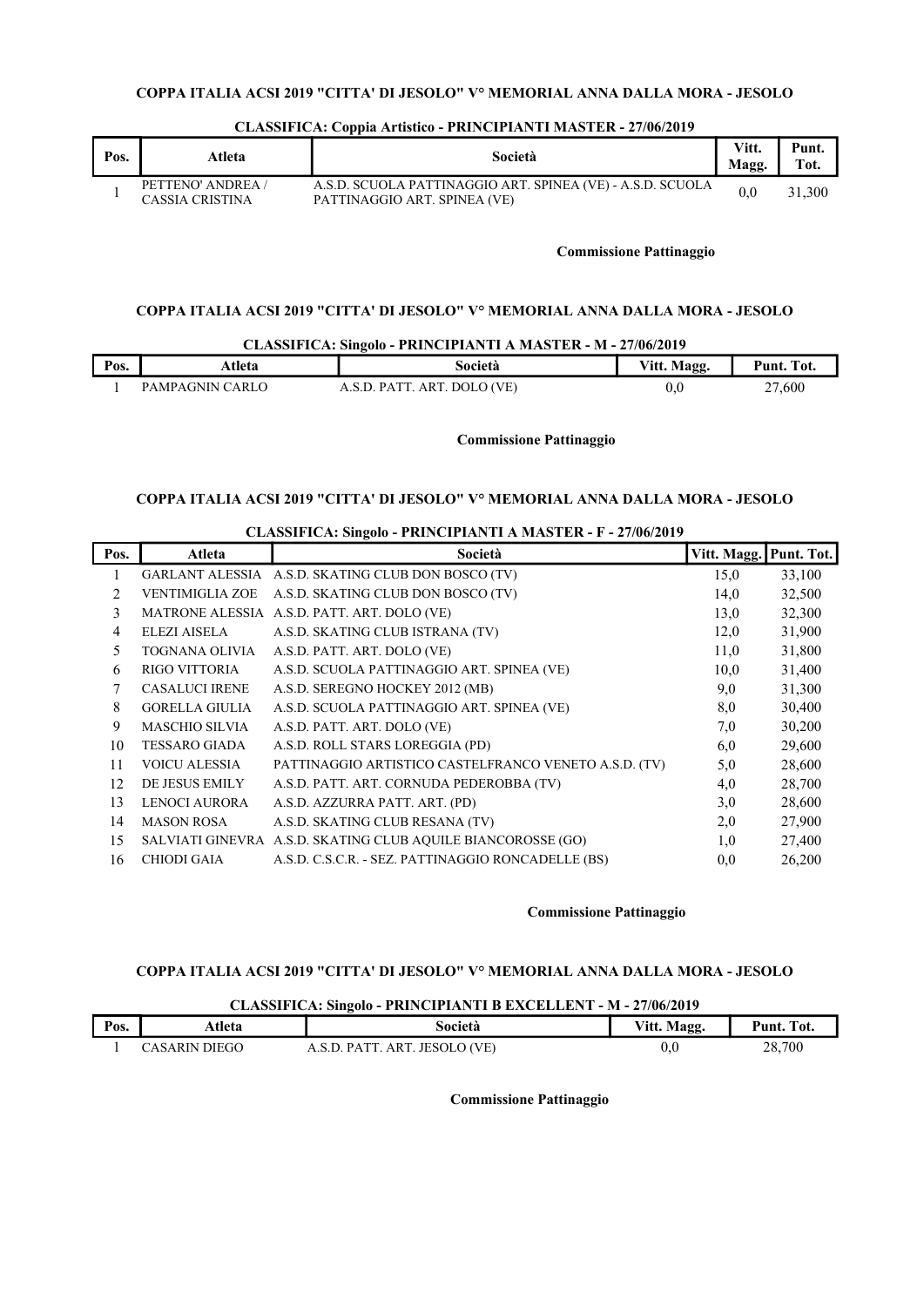| Pos. | Atleta                               | Società                                                                                    | Vitt.<br>Magg. | Punt<br>Tot. |
|------|--------------------------------------|--------------------------------------------------------------------------------------------|----------------|--------------|
|      | PETTENO' ANDREA /<br>CASSIA CRISTINA | A.S.D. SCUOLA PATTINAGGIO ART. SPINEA (VE) - A.S.D. SCUOLA<br>PATTINAGGIO ART. SPINEA (VE) |                | 31,300       |

#### CLASSIFICA: Coppia Artistico - PRINCIPIANTI MASTER - 27/06/2019

## Commissione Pattinaggio

## COPPA ITALIA ACSI 2019 "CITTA' DI JESOLO" V° MEMORIAL ANNA DALLA MORA - JESOLO

#### CLASSIFICA: Singolo - PRINCIPIANTI A MASTER - M - 27/06/2019

| Pos. | Atleta             | Società                                         | Vitt. Magg. | Tot.<br>Punt. |
|------|--------------------|-------------------------------------------------|-------------|---------------|
|      | CARLC<br>PAMPAGNIN | O (VF<br>$\triangle$ R $\top$<br>റവ<br>PΛ<br>ுப | v.v         | 27,600        |

#### Commissione Pattinaggio

## COPPA ITALIA ACSI 2019 "CITTA' DI JESOLO" V° MEMORIAL ANNA DALLA MORA - JESOLO

|      | CLASSIFICA: Singolo - PRINCIPIANTI A MASTER - F - 27/06/2019 |                                                              |             |            |  |
|------|--------------------------------------------------------------|--------------------------------------------------------------|-------------|------------|--|
| Pos. | Atleta                                                       | Società                                                      | Vitt. Magg. | Punt. Tot. |  |
|      |                                                              | GARLANT ALESSIA A.S.D. SKATING CLUB DON BOSCO (TV)           | 15,0        | 33,100     |  |
| 2    | <b>VENTIMIGLIA ZOE</b>                                       | A.S.D. SKATING CLUB DON BOSCO (TV)                           | 14,0        | 32,500     |  |
| 3    |                                                              | MATRONE ALESSIA A.S.D. PATT. ART. DOLO (VE)                  | 13,0        | 32,300     |  |
| 4    | <b>ELEZI AISELA</b>                                          | A.S.D. SKATING CLUB ISTRANA (TV)                             | 12,0        | 31,900     |  |
| 5    | TOGNANA OLIVIA                                               | A.S.D. PATT. ART. DOLO (VE)                                  | 11,0        | 31,800     |  |
| 6    | RIGO VITTORIA                                                | A.S.D. SCUOLA PATTINAGGIO ART. SPINEA (VE)                   | 10,0        | 31,400     |  |
| 7    | <b>CASALUCI IRENE</b>                                        | A.S.D. SEREGNO HOCKEY 2012 (MB)                              | 9,0         | 31,300     |  |
| 8    | <b>GORELLA GIULIA</b>                                        | A.S.D. SCUOLA PATTINAGGIO ART. SPINEA (VE)                   | 8,0         | 30,400     |  |
| 9    | <b>MASCHIO SILVIA</b>                                        | A.S.D. PATT. ART. DOLO (VE)                                  | 7,0         | 30,200     |  |
| 10   | <b>TESSARO GIADA</b>                                         | A.S.D. ROLL STARS LOREGGIA (PD)                              | 6,0         | 29,600     |  |
| 11   | <b>VOICU ALESSIA</b>                                         | PATTINAGGIO ARTISTICO CASTELFRANCO VENETO A.S.D. (TV)        | 5,0         | 28,600     |  |
| 12   | DE JESUS EMILY                                               | A.S.D. PATT. ART. CORNUDA PEDEROBBA (TV)                     | 4,0         | 28,700     |  |
| 13   | <b>LENOCI AURORA</b>                                         | A.S.D. AZZURRA PATT. ART. (PD)                               | 3,0         | 28,600     |  |
| 14   | <b>MASON ROSA</b>                                            | A.S.D. SKATING CLUB RESANA (TV)                              | 2,0         | 27,900     |  |
| 15   |                                                              | SALVIATI GINEVRA A.S.D. SKATING CLUB AQUILE BIANCOROSSE (GO) | 1,0         | 27,400     |  |
| 16   | <b>CHIODI GAIA</b>                                           | A.S.D. C.S.C.R. - SEZ. PATTINAGGIO RONCADELLE (BS)           | 0.0         | 26,200     |  |

#### Commissione Pattinaggio

## COPPA ITALIA ACSI 2019 "CITTA' DI JESOLO" V° MEMORIAL ANNA DALLA MORA - JESOLO

# CLASSIFICA: Singolo - PRINCIPIANTI B EXCELLENT - M - 27/06/2019

| Pos. | Atleta                        | Società                           | Vitt. Magg. | Tot.<br>Yunt. |
|------|-------------------------------|-----------------------------------|-------------|---------------|
|      | <b>DIEGO</b><br><b>ASARIN</b> | <b>JESOLO (VE)</b><br>APT<br>PATT | U.U         | 28,700        |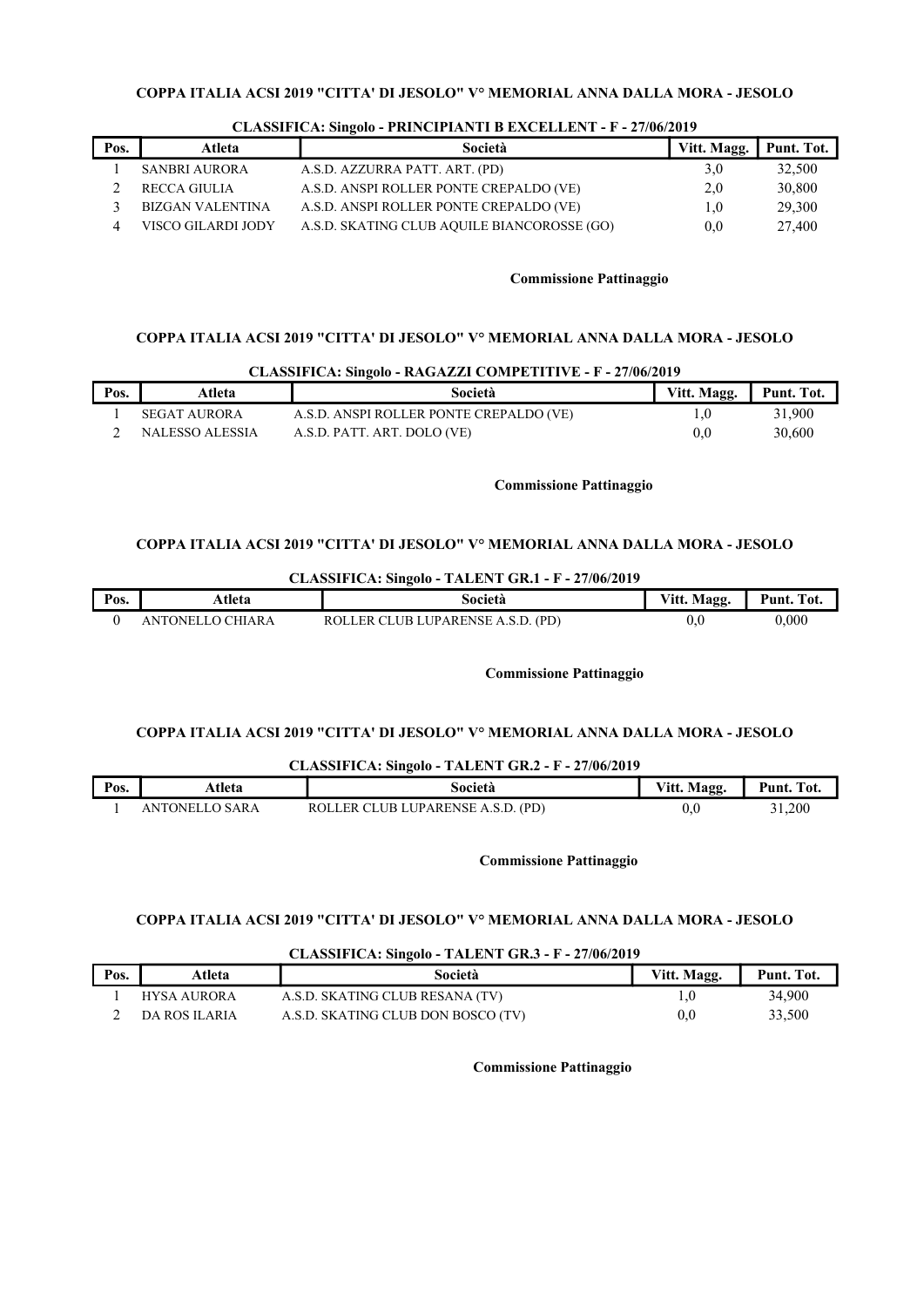| Pos. | Atleta                  | Società                                     | Vitt. Magg. | Punt. Tot. |
|------|-------------------------|---------------------------------------------|-------------|------------|
|      | SANBRI AURORA           | A.S.D. AZZURRA PATT. ART. (PD)              | 3,0         | 32,500     |
|      | <b>RECCA GIULIA</b>     | A.S.D. ANSPI ROLLER PONTE CREPALDO (VE)     | 2,0         | 30,800     |
|      | <b>BIZGAN VALENTINA</b> | A.S.D. ANSPI ROLLER PONTE CREPALDO (VE)     | 1.0         | 29,300     |
|      | VISCO GILARDI JODY      | A.S.D. SKATING CLUB AQUILE BIANCOROSSE (GO) | 0.0         | 27,400     |

#### CLASSIFICA: Singolo - PRINCIPIANTI B EXCELLENT - F - 27/06/2019

## Commissione Pattinaggio

## COPPA ITALIA ACSI 2019 "CITTA' DI JESOLO" V° MEMORIAL ANNA DALLA MORA - JESOLO

| CLASSIFICA: Singolo - RAGAZZI COMPETITIVE - F - 27/06/2019 |                 |                                         |             |            |  |
|------------------------------------------------------------|-----------------|-----------------------------------------|-------------|------------|--|
| Pos.                                                       | Atleta          | Società                                 | Vitt. Magg. | Punt. Tot. |  |
|                                                            | SEGAT AURORA    | A.S.D. ANSPI ROLLER PONTE CREPALDO (VE) | I .O        | 31.900     |  |
|                                                            | NALESSO ALESSIA | A.S.D. PATT. ART. DOLO (VE)             | 0.0         | 30,600     |  |

## Commissione Pattinaggio

## COPPA ITALIA ACSI 2019 "CITTA' DI JESOLO" V° MEMORIAL ANNA DALLA MORA - JESOLO

| CLASSIFICA: Singolo - TALENT GR.1 - F - 27/06/2019 |                  |                                   |             |            |  |
|----------------------------------------------------|------------------|-----------------------------------|-------------|------------|--|
| Pos.                                               | Atleta           | Società                           | Vitt. Magg. | Punt. Tot. |  |
|                                                    | ANTONELLO CHIARA | ROLLER CLUB LUPARENSE A.S.D. (PD) |             | 0.000      |  |

#### Commissione Pattinaggio

## COPPA ITALIA ACSI 2019 "CITTA' DI JESOLO" V° MEMORIAL ANNA DALLA MORA - JESOLO

| CLASSIFICA: Singolo - TALENT GR.2 - F - 27/06/2019 |                |                                   |             |            |  |
|----------------------------------------------------|----------------|-----------------------------------|-------------|------------|--|
| Pos.                                               | Atleta         | Società                           | Vitt. Magg. | Punt. Tot. |  |
|                                                    | ANTONELLO SARA | ROLLER CLUB LUPARENSE A.S.D. (PD) | 0,0         | 31,200     |  |

Commissione Pattinaggio

## COPPA ITALIA ACSI 2019 "CITTA' DI JESOLO" V° MEMORIAL ANNA DALLA MORA - JESOLO

#### CLASSIFICA: Singolo - TALENT GR.3 - F - 27/06/2019

| Pos. | Atleta        | Società                            | Vitt. Magg. | Punt. Tot. |
|------|---------------|------------------------------------|-------------|------------|
|      | HYSA AURORA   | A.S.D. SKATING CLUB RESANA (TV)    |             | 34.900     |
|      | DA ROS ILARIA | A.S.D. SKATING CLUB DON BOSCO (TV) | 0.0         | 33,500     |